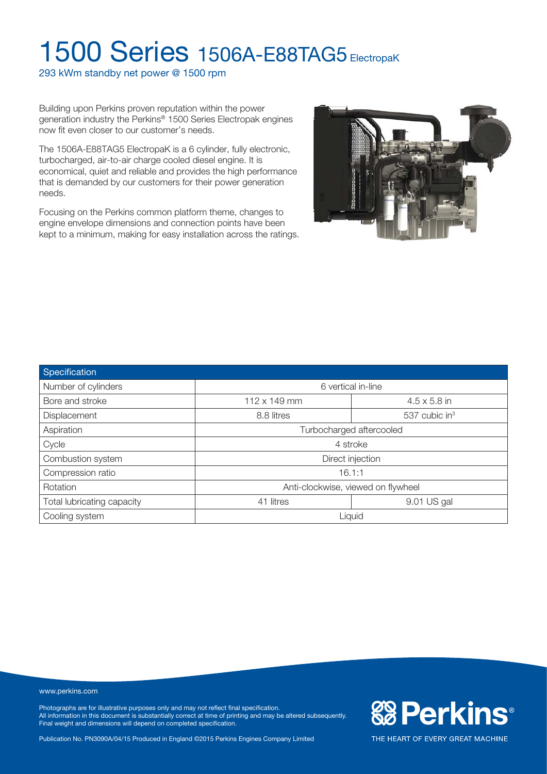293 kWm standby net power @ 1500 rpm

Building upon Perkins proven reputation within the power generation industry the Perkins® 1500 Series Electropak engines now fit even closer to our customer's needs.

The 1506A-E88TAG5 ElectropaK is a 6 cylinder, fully electronic, turbocharged, air-to-air charge cooled diesel engine. It is economical, quiet and reliable and provides the high performance that is demanded by our customers for their power generation needs.

Focusing on the Perkins common platform theme, changes to engine envelope dimensions and connection points have been kept to a minimum, making for easy installation across the ratings.



| Specification              |                                            |                             |  |  |  |
|----------------------------|--------------------------------------------|-----------------------------|--|--|--|
| Number of cylinders        | 6 vertical in-line                         |                             |  |  |  |
| Bore and stroke            | $112 \times 149$ mm<br>$4.5 \times 5.8$ in |                             |  |  |  |
| Displacement               | 8.8 litres                                 | $537$ cubic in <sup>3</sup> |  |  |  |
| Aspiration                 | Turbocharged aftercooled                   |                             |  |  |  |
| Cycle                      | 4 stroke                                   |                             |  |  |  |
| Combustion system          | Direct injection                           |                             |  |  |  |
| Compression ratio          | 16.1:1                                     |                             |  |  |  |
| Rotation                   | Anti-clockwise, viewed on flywheel         |                             |  |  |  |
| Total lubricating capacity | 41 litres                                  | 9.01 US gal                 |  |  |  |
| Cooling system             | Liquid                                     |                             |  |  |  |

www.perkins.com

Photographs are for illustrative purposes only and may not reflect final specification. All information in this document is substantially correct at time of printing and may be altered subsequently. Final weight and dimensions will depend on completed specification.

Publication No. PN3090A/04/15 Produced in England ©2015 Perkins Engines Company Limited

**&B Perkins®**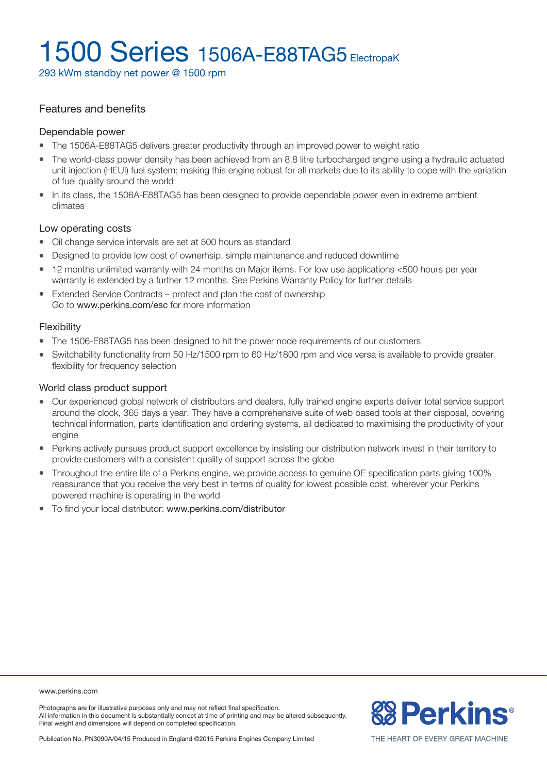293 kWm standby net power @ 1500 rpm

#### Features and benefits

#### Dependable power

- The 1506A-E88TAG5 delivers greater productivity through an improved power to weight ratio
- The world-class power density has been achieved from an 8.8 litre turbocharged engine using a hydraulic actuated unit injection (HEUI) fuel system; making this engine robust for all markets due to its ability to cope with the variation of fuel quality around the world
- In its class, the 1506A-E88TAG5 has been designed to provide dependable power even in extreme ambient climates

#### Low operating costs

- Oil change service intervals are set at 500 hours as standard
- Designed to provide low cost of ownerhsip, simple maintenance and reduced downtime
- 12 months unlimited warranty with 24 months on Major items. For low use applications <500 hours per year warranty is extended by a further 12 months. See Perkins Warranty Policy for further details
- Extended Service Contracts protect and plan the cost of ownership Go to www.perkins.com/esc for more information

#### Flexibility

- The 1506-E88TAG5 has been designed to hit the power node requirements of our customers
- Switchability functionality from 50 Hz/1500 rpm to 60 Hz/1800 rpm and vice versa is available to provide greater flexibility for frequency selection

#### World class product support

- <sup>l</sup> Our experienced global network of distributors and dealers, fully trained engine experts deliver total service support around the clock, 365 days a year. They have a comprehensive suite of web based tools at their disposal, covering technical information, parts identification and ordering systems, all dedicated to maximising the productivity of your engine
- Perkins actively pursues product support excellence by insisting our distribution network invest in their territory to provide customers with a consistent quality of support across the globe
- <sup>l</sup> Throughout the entire life of a Perkins engine, we provide access to genuine OE specification parts giving 100% reassurance that you receive the very best in terms of quality for lowest possible cost, wherever your Perkins powered machine is operating in the world
- To find your local distributor: www.perkins.com/distributor

www.perkins.com

Photographs are for illustrative purposes only and may not reflect final specification. All information in this document is substantially correct at time of printing and may be altered subsequently. Final weight and dimensions will depend on completed specification.



Publication No. PN3090A/04/15 Produced in England ©2015 Perkins Engines Company Limited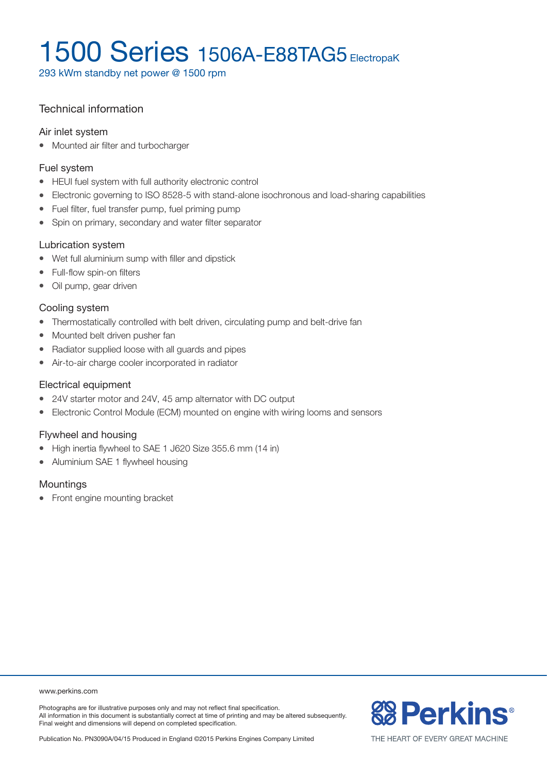293 kWm standby net power @ 1500 rpm

### Technical information

#### Air inlet system

• Mounted air filter and turbocharger

#### Fuel system

- HEUI fuel system with full authority electronic control
- Electronic governing to ISO 8528-5 with stand-alone isochronous and load-sharing capabilities
- Fuel filter, fuel transfer pump, fuel priming pump
- Spin on primary, secondary and water filter separator

#### Lubrication system

- Wet full aluminium sump with filler and dipstick
- Full-flow spin-on filters
- Oil pump, gear driven

#### Cooling system

- Thermostatically controlled with belt driven, circulating pump and belt-drive fan
- Mounted belt driven pusher fan
- Radiator supplied loose with all guards and pipes
- Air-to-air charge cooler incorporated in radiator

#### Electrical equipment

- 24V starter motor and 24V, 45 amp alternator with DC output
- Electronic Control Module (ECM) mounted on engine with wiring looms and sensors

#### Flywheel and housing

- High inertia flywheel to SAE 1 J620 Size 355.6 mm (14 in)
- Aluminium SAE 1 flywheel housing

#### **Mountings**

• Front engine mounting bracket

#### www.perkins.com

Photographs are for illustrative purposes only and may not reflect final specification. All information in this document is substantially correct at time of printing and may be altered subsequently. Final weight and dimensions will depend on completed specification.

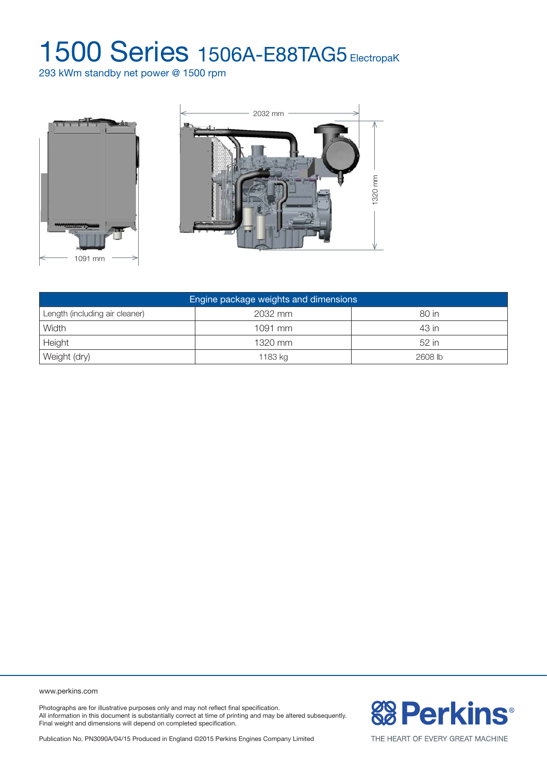293 kWm standby net power @ 1500 rpm





| Engine package weights and dimensions |         |           |  |  |  |
|---------------------------------------|---------|-----------|--|--|--|
| Length (including air cleaner)        | 2032 mm | 80 in     |  |  |  |
| Width                                 | 1091 mm | 43 in     |  |  |  |
| Height                                | 1320 mm | $52$ in   |  |  |  |
| Weight (dry)                          | 1183 kg | $2608$ lb |  |  |  |

www.perkins.com

Photographs are for illustrative purposes only and may not reflect final specification. All information in this document is substantially correct at time of printing and may be altered subsequently. Final weight and dimensions will depend on completed specification.

**&B Perkins®** 

Publication No. PN3090A/04/15 Produced in England ©2015 Perkins Engines Company Limited